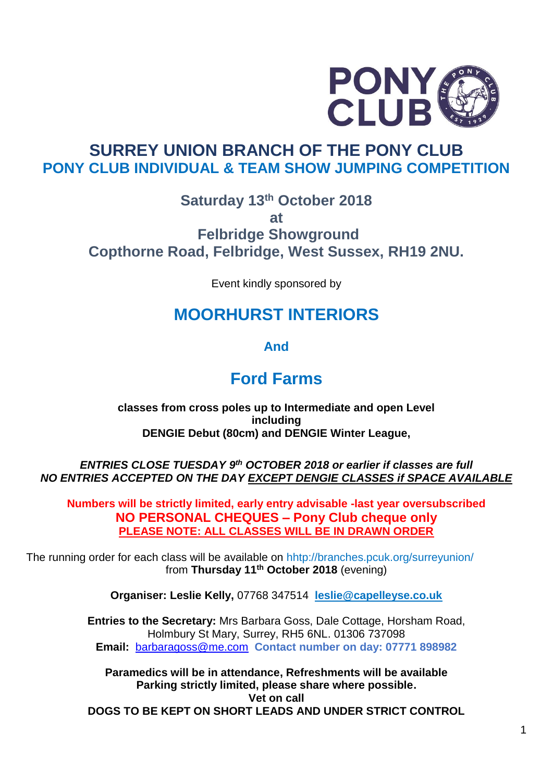

# **SURREY UNION BRANCH OF THE PONY CLUB PONY CLUB INDIVIDUAL & TEAM SHOW JUMPING COMPETITION**

### **Saturday 13th October 2018 at Felbridge Showground Copthorne Road, Felbridge, West Sussex, RH19 2NU.**

Event kindly sponsored by

# **MOORHURST INTERIORS**

**And** 

# **Ford Farms**

**classes from cross poles up to Intermediate and open Level including DENGIE Debut (80cm) and DENGIE Winter League,** 

*ENTRIES CLOSE TUESDAY 9 th OCTOBER 2018 or earlier if classes are full NO ENTRIES ACCEPTED ON THE DAY EXCEPT DENGIE CLASSES if SPACE AVAILABLE*

**Numbers will be strictly limited, early entry advisable -last year oversubscribed NO PERSONAL CHEQUES – Pony Club cheque only PLEASE NOTE: ALL CLASSES WILL BE IN DRAWN ORDER**

The running order for each class will be available on hhtp://branches.pcuk.org/surreyunion/ from Thursday 11<sup>th</sup> October 2018 (evening)

**Organiser: Leslie Kelly,** 07768 347514 **[leslie@capelleyse.co.uk](mailto:leslie@capelleyse.co.uk)**

**Entries to the Secretary:** Mrs Barbara Goss, Dale Cottage, Horsham Road, Holmbury St Mary, Surrey, RH5 6NL. 01306 737098 **Email:** [barbaragoss@me.com](mailto:barbaragoss@me.com) **Contact number on day: 07771 898982**

**Paramedics will be in attendance, Refreshments will be available Parking strictly limited, please share where possible. Vet on call DOGS TO BE KEPT ON SHORT LEADS AND UNDER STRICT CONTROL**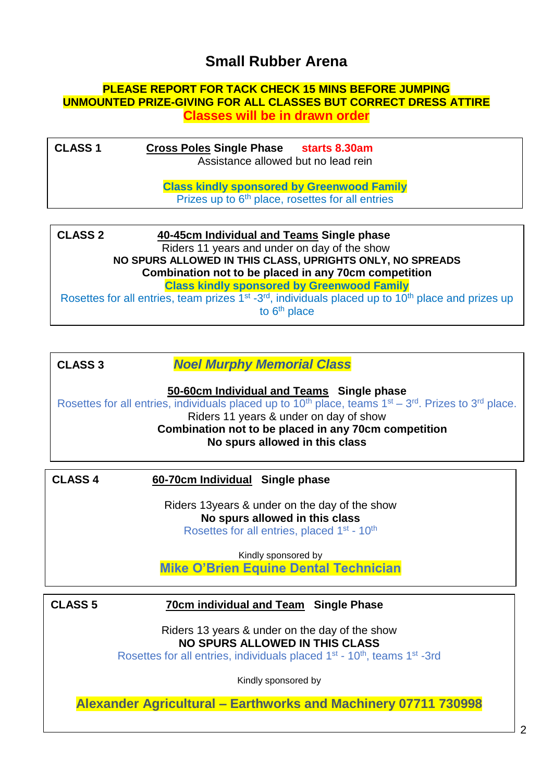# **Small Rubber Arena**

#### **PLEASE REPORT FOR TACK CHECK 15 MINS BEFORE JUMPING UNMOUNTED PRIZE-GIVING FOR ALL CLASSES BUT CORRECT DRESS ATTIRE Classes will be in drawn order**

| <b>CLASS 1</b> | <b>Cross Poles Single Phase</b><br>starts 8.30am<br>Assistance allowed but no lead rein                           |  |
|----------------|-------------------------------------------------------------------------------------------------------------------|--|
|                | <b>Class kindly sponsored by Greenwood Family</b><br>Prizes up to 6 <sup>th</sup> place, rosettes for all entries |  |
|                |                                                                                                                   |  |

| <b>CLASS 2</b>                                       | 40-45cm Individual and Teams Single phase                                                                                              |  |  |  |
|------------------------------------------------------|----------------------------------------------------------------------------------------------------------------------------------------|--|--|--|
|                                                      | Riders 11 years and under on day of the show                                                                                           |  |  |  |
|                                                      | NO SPURS ALLOWED IN THIS CLASS, UPRIGHTS ONLY, NO SPREADS                                                                              |  |  |  |
| Combination not to be placed in any 70cm competition |                                                                                                                                        |  |  |  |
|                                                      | <b>Class kindly sponsored by Greenwood Family</b>                                                                                      |  |  |  |
|                                                      | Rosettes for all entries, team prizes 1 <sup>st</sup> -3 <sup>rd</sup> , individuals placed up to 10 <sup>th</sup> place and prizes up |  |  |  |
|                                                      | to $6th$ place                                                                                                                         |  |  |  |

| <b>CLASS 3</b> | <b>Noel Murphy Memorial Class</b> |
|----------------|-----------------------------------|
|----------------|-----------------------------------|

**50-60cm Individual and Teams Single phase** Rosettes for all entries, individuals placed up to  $10<sup>th</sup>$  place, teams  $1<sup>st</sup> - 3<sup>rd</sup>$ . Prizes to  $3<sup>rd</sup>$  place. Riders 11 years & under on day of show **Combination not to be placed in any 70cm competition No spurs allowed in this class**

#### **CLASS 4 60-70cm Individual Single phase** Rosettes for all entries, individuals placed up to 10th place, teams 1st

Riders 13years & under on the day of the show **No spurs allowed in this class** Rosettes for all entries, placed 1<sup>st</sup> - 10<sup>th</sup>

Kindly sponsored by **Mike O'Brien Equine Dental Technician**

#### **CLASS 5 70cm individual and Team Single Phase**

Riders 13 years & under on the day of the show **NO SPURS ALLOWED IN THIS CLASS**

Rosettes for all entries, individuals placed 1<sup>st</sup> - 10<sup>th</sup>, teams 1<sup>st</sup> -3rd

Kindly sponsored by

**Alexander Agricultural – Earthworks and Machinery 07711 730998**

-3 rd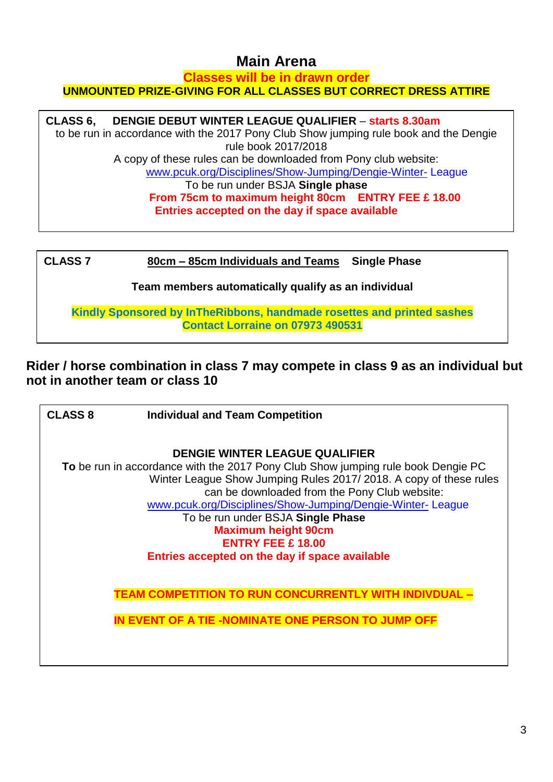# **Main Arena**

#### **Classes will be in drawn order UNMOUNTED PRIZE-GIVING FOR ALL CLASSES BUT CORRECT DRESS ATTIRE**

#### **CLASS 6, DENGIE DEBUT WINTER LEAGUE QUALIFIER** – **starts 8.30am**

to be run in accordance with the 2017 Pony Club Show jumping rule book and the Dengie rule book 2017/2018 A copy of these rules can be downloaded from Pony club website: [www.pcuk.org/Disciplines/Show-Jumping/Dengie-Winter-](http://www.pcuk.org/Disciplines/Show-Jumping/Dengie-Winter-) League To be run under BSJA **Single phase From 75cm to maximum height 80cm ENTRY FEE £ 18.00**

**Entries accepted on the day if space available**

| <b>CLASS 7</b>                                      | 80cm – 85cm Individuals and Teams<br><b>Single Phase</b>                                                          |  |  |  |
|-----------------------------------------------------|-------------------------------------------------------------------------------------------------------------------|--|--|--|
| Team members automatically qualify as an individual |                                                                                                                   |  |  |  |
|                                                     | Kindly Sponsored by InTheRibbons, handmade rosettes and printed sashes<br><b>Contact Lorraine on 07973 490531</b> |  |  |  |

**Rider / horse combination in class 7 may compete in class 9 as an individual but not in another team or class 10**

| <b>CLASS 8</b>                                                                                                                                        | <b>Individual and Team Competition</b>                     |  |  |  |
|-------------------------------------------------------------------------------------------------------------------------------------------------------|------------------------------------------------------------|--|--|--|
|                                                                                                                                                       |                                                            |  |  |  |
|                                                                                                                                                       | <b>DENGIE WINTER LEAGUE QUALIFIER</b>                      |  |  |  |
| To be run in accordance with the 2017 Pony Club Show jumping rule book Dengie PC<br>Winter League Show Jumping Rules 2017/2018. A copy of these rules |                                                            |  |  |  |
|                                                                                                                                                       | can be downloaded from the Pony Club website:              |  |  |  |
|                                                                                                                                                       | www.pcuk.org/Disciplines/Show-Jumping/Dengie-Winter-League |  |  |  |
|                                                                                                                                                       | To be run under BSJA Single Phase                          |  |  |  |
|                                                                                                                                                       | <b>Maximum height 90cm</b>                                 |  |  |  |
|                                                                                                                                                       | <b>ENTRY FEE £ 18.00</b>                                   |  |  |  |
|                                                                                                                                                       | Entries accepted on the day if space available             |  |  |  |
|                                                                                                                                                       |                                                            |  |  |  |
|                                                                                                                                                       | TEAM COMPETITION TO RUN CONCURRENTLY                       |  |  |  |
|                                                                                                                                                       | IN EVENT OF A TIE -NOMINATE ONE PERSON TO JUMP OFF         |  |  |  |
|                                                                                                                                                       |                                                            |  |  |  |
|                                                                                                                                                       |                                                            |  |  |  |
|                                                                                                                                                       |                                                            |  |  |  |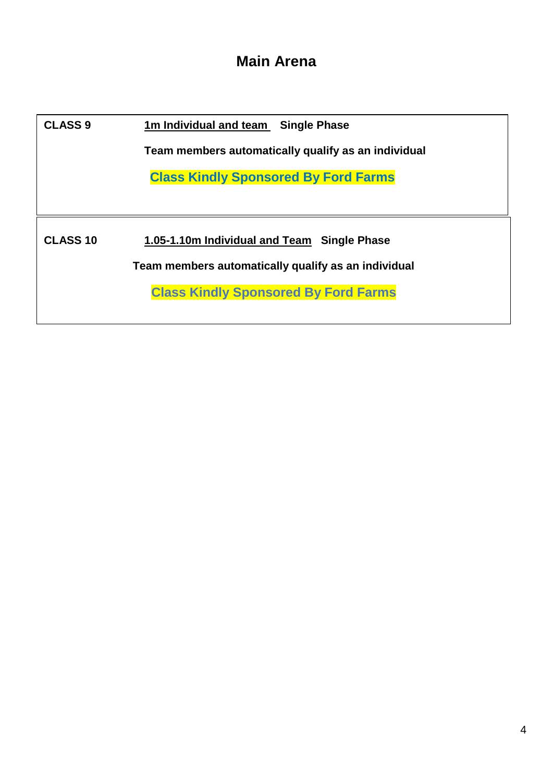# **Main Arena**

| <b>CLASS 9</b>  | 1m Individual and team Single Phase                 |  |  |  |
|-----------------|-----------------------------------------------------|--|--|--|
|                 | Team members automatically qualify as an individual |  |  |  |
|                 | <b>Class Kindly Sponsored By Ford Farms</b>         |  |  |  |
|                 |                                                     |  |  |  |
| <b>CLASS 10</b> | 1.05-1.10m Individual and Team Single Phase         |  |  |  |
|                 | Team members automatically qualify as an individual |  |  |  |
|                 | <b>Class Kindly Sponsored By Ford Farms</b>         |  |  |  |
|                 |                                                     |  |  |  |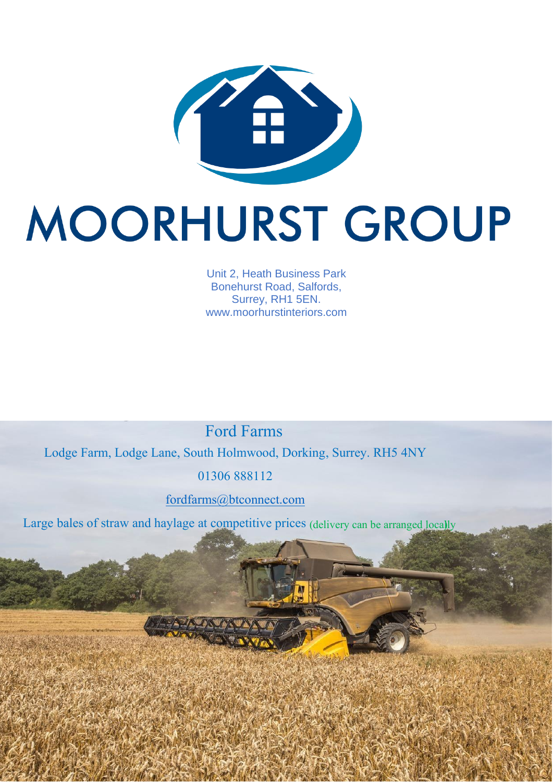

# MOORHURST GROUP

Unit 2, Heath Business Park Bonehurst Road, Salfords, Surrey, RH1 5EN. www.moorhurstinteriors.com

Ford Farms

Lodge Farm, Lodge Lane, South Holmwood, Dorking, Surrey. RH5 4NY

01306 888112

fordfarms@btconnect.com

Large bales of straw and haylage at competitive prices (delivery can be arranged locally

 $\tilde{c}$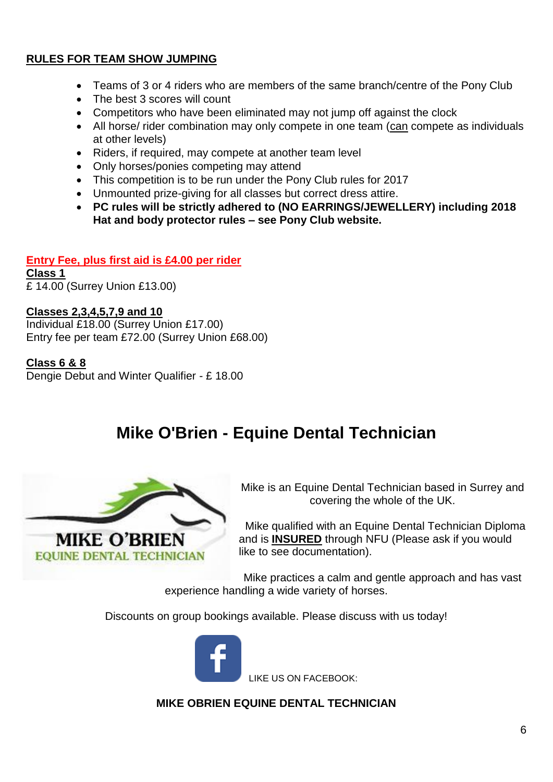#### **RULES FOR TEAM SHOW JUMPING**

- Teams of 3 or 4 riders who are members of the same branch/centre of the Pony Club
- The best 3 scores will count
- Competitors who have been eliminated may not jump off against the clock
- All horse/ rider combination may only compete in one team (can compete as individuals at other levels)
- Riders, if required, may compete at another team level
- Only horses/ponies competing may attend
- This competition is to be run under the Pony Club rules for 2017
- Unmounted prize-giving for all classes but correct dress attire.
- **PC rules will be strictly adhered to (NO EARRINGS/JEWELLERY) including 2018 Hat and body protector rules – see Pony Club website.**

#### **Entry Fee, plus first aid is £4.00 per rider**

**Class 1** £ 14.00 (Surrey Union £13.00)

#### **Classes 2,3,4,5,7,9 and 10**

Individual £18.00 (Surrey Union £17.00) Entry fee per team £72.00 (Surrey Union £68.00)

#### **Class 6 & 8**

Dengie Debut and Winter Qualifier - £ 18.00

# **Mike O'Brien - Equine Dental Technician**



Mike is an Equine Dental Technician based in Surrey and covering the whole of the UK.

 Mike qualified with an Equine Dental Technician Diploma and is **INSURED** through NFU (Please ask if you would like to see documentation).

Mike practices a calm and gentle approach and has vast experience handling a wide variety of horses.

Discounts on group bookings available. Please discuss with us today!



LIKE US ON FACEBOOK:

**MIKE OBRIEN EQUINE DENTAL TECHNICIAN**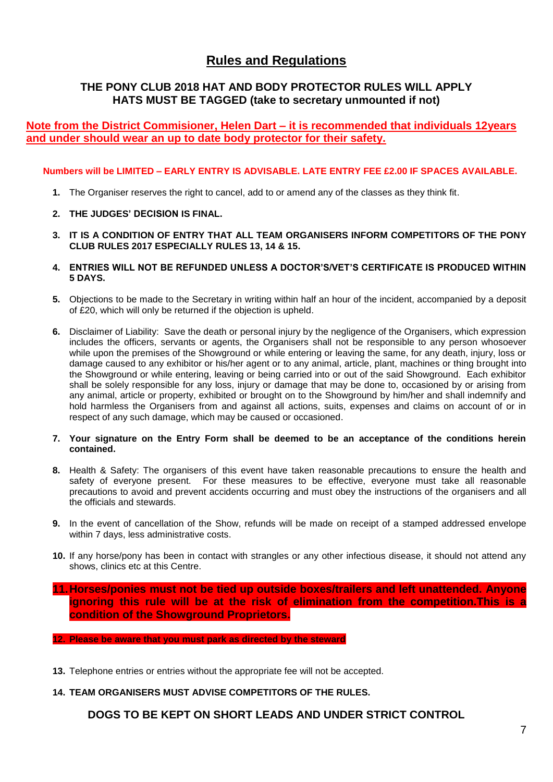### **Rules and Regulations**

#### **THE PONY CLUB 2018 HAT AND BODY PROTECTOR RULES WILL APPLY HATS MUST BE TAGGED (take to secretary unmounted if not)**

#### **Note from the District Commisioner, Helen Dart – it is recommended that individuals 12years and under should wear an up to date body protector for their safety.**

#### **Numbers will be LIMITED – EARLY ENTRY IS ADVISABLE. LATE ENTRY FEE £2.00 IF SPACES AVAILABLE.**

- **1.** The Organiser reserves the right to cancel, add to or amend any of the classes as they think fit.
- **2. THE JUDGES' DECISION IS FINAL.**
- **3. IT IS A CONDITION OF ENTRY THAT ALL TEAM ORGANISERS INFORM COMPETITORS OF THE PONY CLUB RULES 2017 ESPECIALLY RULES 13, 14 & 15.**
- **4. ENTRIES WILL NOT BE REFUNDED UNLESS A DOCTOR'S/VET'S CERTIFICATE IS PRODUCED WITHIN 5 DAYS.**
- **5.** Objections to be made to the Secretary in writing within half an hour of the incident, accompanied by a deposit of £20, which will only be returned if the objection is upheld.
- **6.** Disclaimer of Liability: Save the death or personal injury by the negligence of the Organisers, which expression includes the officers, servants or agents, the Organisers shall not be responsible to any person whosoever while upon the premises of the Showground or while entering or leaving the same, for any death, injury, loss or damage caused to any exhibitor or his/her agent or to any animal, article, plant, machines or thing brought into the Showground or while entering, leaving or being carried into or out of the said Showground. Each exhibitor shall be solely responsible for any loss, injury or damage that may be done to, occasioned by or arising from any animal, article or property, exhibited or brought on to the Showground by him/her and shall indemnify and hold harmless the Organisers from and against all actions, suits, expenses and claims on account of or in respect of any such damage, which may be caused or occasioned.
- **7. Your signature on the Entry Form shall be deemed to be an acceptance of the conditions herein contained.**
- **8.** Health & Safety: The organisers of this event have taken reasonable precautions to ensure the health and safety of everyone present. For these measures to be effective, everyone must take all reasonable precautions to avoid and prevent accidents occurring and must obey the instructions of the organisers and all the officials and stewards.
- **9.** In the event of cancellation of the Show, refunds will be made on receipt of a stamped addressed envelope within 7 days, less administrative costs.
- **10.** If any horse/pony has been in contact with strangles or any other infectious disease, it should not attend any shows, clinics etc at this Centre.
- **11.Horses/ponies must not be tied up outside boxes/trailers and left unattended. Anyone ignoring this rule will be at the risk of elimination from the competition.This is a condition of the Showground Proprietors.**
- **12. Please be aware that you must park as directed by the steward**
- **13.** Telephone entries or entries without the appropriate fee will not be accepted.

#### **14. TEAM ORGANISERS MUST ADVISE COMPETITORS OF THE RULES.**

**DOGS TO BE KEPT ON SHORT LEADS AND UNDER STRICT CONTROL**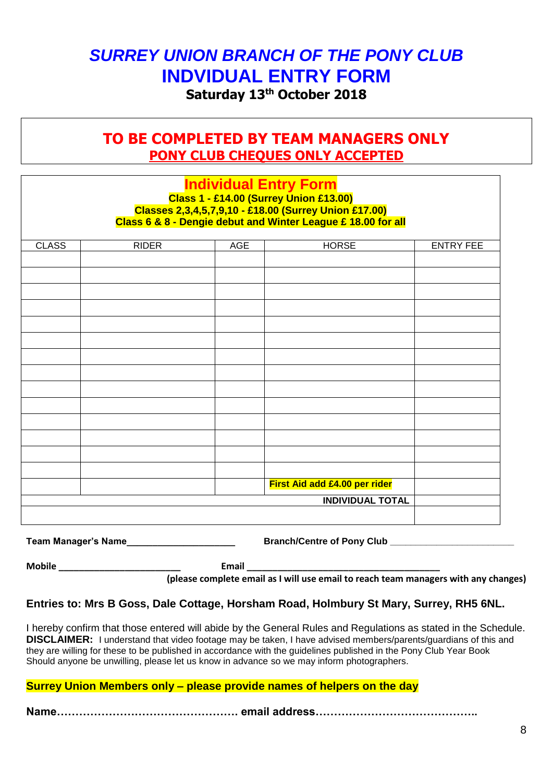# *SURREY UNION BRANCH OF THE PONY CLUB* **INDVIDUAL ENTRY FORM**

**Saturday 13 th October 2018**

# **TO BE COMPLETED BY TEAM MANAGERS ONLY PONY CLUB CHEQUES ONLY ACCEPTED**

# **Individual Entry Form Class 1 - £14.00 (Surrey Union £13.00) Classes 2,3,4,5,7,9,10 - £18.00 (Surrey Union £17.00) Class 6 & 8 - Dengie debut and Winter League £ 18.00 for all** CLASS | RIDER | AGE | HORSE | ENTRY FEE **First Aid add £4.00 per rider INDIVIDUAL TOTAL**

**Team Manager's Name\_\_\_\_\_\_\_\_\_\_\_\_\_\_\_\_\_\_\_\_\_ Branch/Centre of Pony Club \_\_\_\_\_\_\_\_\_\_\_\_\_\_\_\_\_\_\_\_\_\_\_\_**

**Mobile \_\_\_\_\_\_\_\_\_\_\_\_\_\_\_\_\_\_\_\_\_\_\_\_ Email \_\_\_\_\_\_\_\_\_\_\_\_\_\_\_\_\_\_\_\_\_\_\_\_\_\_\_\_\_\_\_\_\_\_\_\_\_\_**

**(please complete email as I will use email to reach team managers with any changes)**

#### **Entries to: Mrs B Goss, Dale Cottage, Horsham Road, Holmbury St Mary, Surrey, RH5 6NL.**

I hereby confirm that those entered will abide by the General Rules and Regulations as stated in the Schedule. **DISCLAIMER:** I understand that video footage may be taken, I have advised members/parents/guardians of this and they are willing for these to be published in accordance with the guidelines published in the Pony Club Year Book Should anyone be unwilling, please let us know in advance so we may inform photographers.

#### **Surrey Union Members only – please provide names of helpers on the day**

**Name…………………………………………. email address……………………………………..**